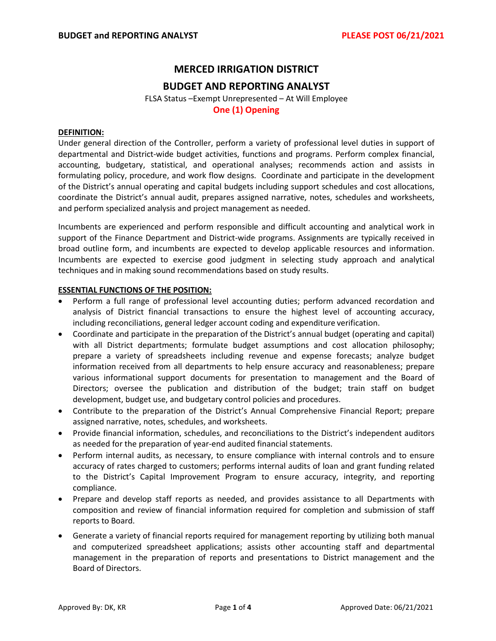# **MERCED IRRIGATION DISTRICT**

## **BUDGET AND REPORTING ANALYST**

FLSA Status –Exempt Unrepresented – At Will Employee **One (1) Opening**

## **DEFINITION:**

Under general direction of the Controller, perform a variety of professional level duties in support of departmental and District‐wide budget activities, functions and programs. Perform complex financial, accounting, budgetary, statistical, and operational analyses; recommends action and assists in formulating policy, procedure, and work flow designs. Coordinate and participate in the development of the District's annual operating and capital budgets including support schedules and cost allocations, coordinate the District's annual audit, prepares assigned narrative, notes, schedules and worksheets, and perform specialized analysis and project management as needed.

Incumbents are experienced and perform responsible and difficult accounting and analytical work in support of the Finance Department and District-wide programs. Assignments are typically received in broad outline form, and incumbents are expected to develop applicable resources and information. Incumbents are expected to exercise good judgment in selecting study approach and analytical techniques and in making sound recommendations based on study results.

## **ESSENTIAL FUNCTIONS OF THE POSITION:**

- Perform a full range of professional level accounting duties; perform advanced recordation and analysis of District financial transactions to ensure the highest level of accounting accuracy, including reconciliations, general ledger account coding and expenditure verification.
- Coordinate and participate in the preparation of the District's annual budget (operating and capital) with all District departments; formulate budget assumptions and cost allocation philosophy; prepare a variety of spreadsheets including revenue and expense forecasts; analyze budget information received from all departments to help ensure accuracy and reasonableness; prepare various informational support documents for presentation to management and the Board of Directors; oversee the publication and distribution of the budget; train staff on budget development, budget use, and budgetary control policies and procedures.
- Contribute to the preparation of the District's Annual Comprehensive Financial Report; prepare assigned narrative, notes, schedules, and worksheets.
- Provide financial information, schedules, and reconciliations to the District's independent auditors as needed for the preparation of year‐end audited financial statements.
- Perform internal audits, as necessary, to ensure compliance with internal controls and to ensure accuracy of rates charged to customers; performs internal audits of loan and grant funding related to the District's Capital Improvement Program to ensure accuracy, integrity, and reporting compliance.
- Prepare and develop staff reports as needed, and provides assistance to all Departments with composition and review of financial information required for completion and submission of staff reports to Board.
- Generate a variety of financial reports required for management reporting by utilizing both manual and computerized spreadsheet applications; assists other accounting staff and departmental management in the preparation of reports and presentations to District management and the Board of Directors.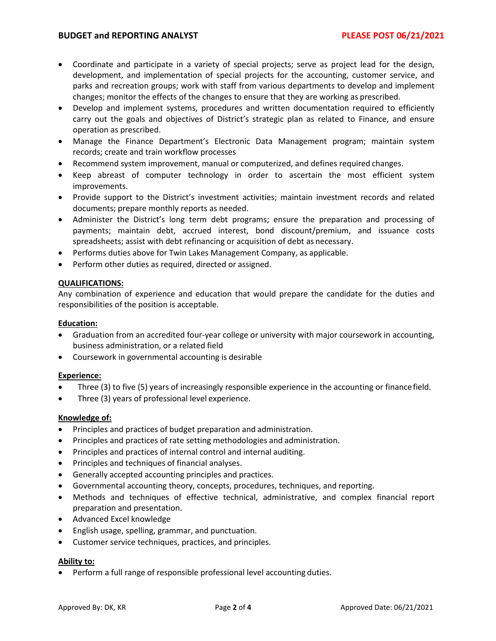- Coordinate and participate in a variety of special projects; serve as project lead for the design, development, and implementation of special projects for the accounting, customer service, and parks and recreation groups; work with staff from various departments to develop and implement changes; monitor the effects of the changes to ensure that they are working as prescribed.
- Develop and implement systems, procedures and written documentation required to efficiently carry out the goals and objectives of District's strategic plan as related to Finance, and ensure operation as prescribed.
- Manage the Finance Department's Electronic Data Management program; maintain system records; create and train workflow processes
- Recommend system improvement, manual or computerized, and defines required changes.
- Keep abreast of computer technology in order to ascertain the most efficient system improvements.
- Provide support to the District's investment activities; maintain investment records and related documents; prepare monthly reports as needed.
- Administer the District's long term debt programs; ensure the preparation and processing of payments; maintain debt, accrued interest, bond discount/premium, and issuance costs spreadsheets; assist with debt refinancing or acquisition of debt as necessary.
- Performs duties above for Twin Lakes Management Company, as applicable.
- Perform other duties as required, directed or assigned.

## **QUALIFICATIONS:**

Any combination of experience and education that would prepare the candidate for the duties and responsibilities of the position is acceptable.

## **Education:**

- Graduation from an accredited four-year college or university with major coursework in accounting, business administration, or a related field
- Coursework in governmental accounting is desirable

## **Experience:**

- Three (3) to five (5) years of increasingly responsible experience in the accounting or financefield.
- Three (3) years of professional level experience.

## **Knowledge of:**

- Principles and practices of budget preparation and administration.
- Principles and practices of rate setting methodologies and administration.
- Principles and practices of internal control and internal auditing.
- Principles and techniques of financial analyses.
- Generally accepted accounting principles and practices.
- Governmental accounting theory, concepts, procedures, techniques, and reporting.
- Methods and techniques of effective technical, administrative, and complex financial report preparation and presentation.
- Advanced Excel knowledge
- English usage, spelling, grammar, and punctuation.
- Customer service techniques, practices, and principles.

## **Ability to:**

• Perform a full range of responsible professional level accounting duties.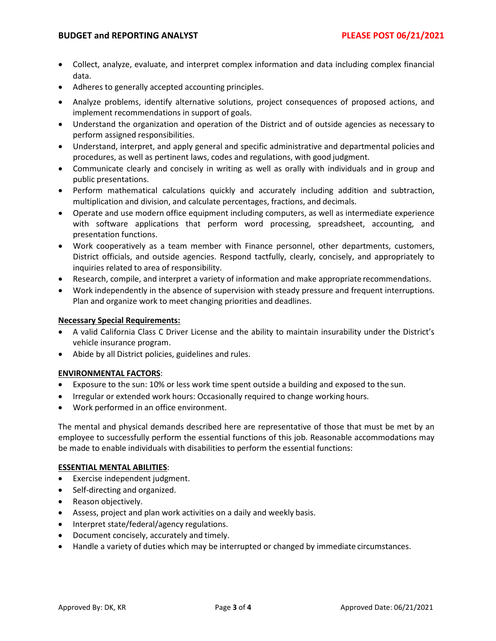- Collect, analyze, evaluate, and interpret complex information and data including complex financial data.
- Adheres to generally accepted accounting principles.
- Analyze problems, identify alternative solutions, project consequences of proposed actions, and implement recommendations in support of goals.
- Understand the organization and operation of the District and of outside agencies as necessary to perform assigned responsibilities.
- Understand, interpret, and apply general and specific administrative and departmental policies and procedures, as well as pertinent laws, codes and regulations, with good judgment.
- Communicate clearly and concisely in writing as well as orally with individuals and in group and public presentations.
- Perform mathematical calculations quickly and accurately including addition and subtraction, multiplication and division, and calculate percentages, fractions, and decimals.
- Operate and use modern office equipment including computers, as well as intermediate experience with software applications that perform word processing, spreadsheet, accounting, and presentation functions.
- Work cooperatively as a team member with Finance personnel, other departments, customers, District officials, and outside agencies. Respond tactfully, clearly, concisely, and appropriately to inquiries related to area of responsibility.
- Research, compile, and interpret a variety of information and make appropriate recommendations.
- Work independently in the absence of supervision with steady pressure and frequent interruptions. Plan and organize work to meet changing priorities and deadlines.

## **Necessary Special Requirements:**

- A valid California Class C Driver License and the ability to maintain insurability under the District's vehicle insurance program.
- Abide by all District policies, guidelines and rules.

## **ENVIRONMENTAL FACTORS**:

- Exposure to the sun: 10% or less work time spent outside a building and exposed to the sun.
- Irregular or extended work hours: Occasionally required to change working hours.
- Work performed in an office environment.

The mental and physical demands described here are representative of those that must be met by an employee to successfully perform the essential functions of this job. Reasonable accommodations may be made to enable individuals with disabilities to perform the essential functions:

## **ESSENTIAL MENTAL ABILITIES**:

- Exercise independent judgment.
- Self-directing and organized.
- Reason objectively.
- Assess, project and plan work activities on a daily and weekly basis.
- Interpret state/federal/agency regulations.
- Document concisely, accurately and timely.
- Handle a variety of duties which may be interrupted or changed by immediate circumstances.